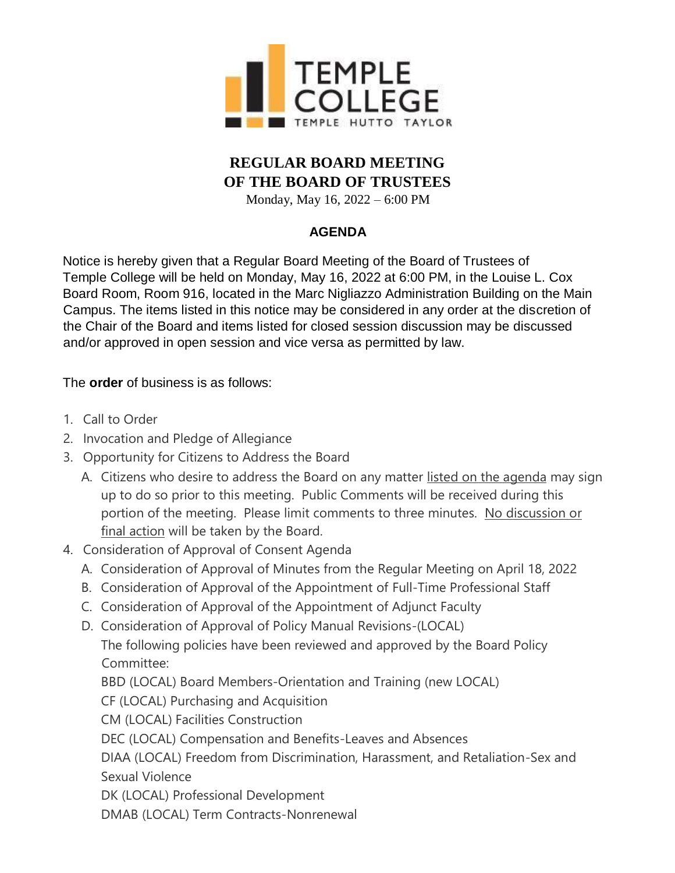

## **REGULAR BOARD MEETING OF THE BOARD OF TRUSTEES**

Monday, May 16, 2022 – 6:00 PM

#### **AGENDA**

Notice is hereby given that a Regular Board Meeting of the Board of Trustees of Temple College will be held on Monday, May 16, 2022 at 6:00 PM, in the Louise L. Cox Board Room, Room 916, located in the Marc Nigliazzo Administration Building on the Main Campus. The items listed in this notice may be considered in any order at the discretion of the Chair of the Board and items listed for closed session discussion may be discussed and/or approved in open session and vice versa as permitted by law.

The **order** of business is as follows:

- 1. Call to Order
- 2. Invocation and Pledge of Allegiance
- 3. Opportunity for Citizens to Address the Board
	- A. Citizens who desire to address the Board on any matter listed on the agenda may sign up to do so prior to this meeting. Public Comments will be received during this portion of the meeting. Please limit comments to three minutes. No discussion or final action will be taken by the Board.
- 4. Consideration of Approval of Consent Agenda
	- A. Consideration of Approval of Minutes from the Regular Meeting on April 18, 2022
	- B. Consideration of Approval of the Appointment of Full-Time Professional Staff
	- C. Consideration of Approval of the Appointment of Adjunct Faculty
	- D. Consideration of Approval of Policy Manual Revisions-(LOCAL)

The following policies have been reviewed and approved by the Board Policy Committee:

BBD (LOCAL) Board Members-Orientation and Training (new LOCAL)

CF (LOCAL) Purchasing and Acquisition

CM (LOCAL) Facilities Construction

DEC (LOCAL) Compensation and Benefits-Leaves and Absences

DIAA (LOCAL) Freedom from Discrimination, Harassment, and Retaliation-Sex and Sexual Violence

DK (LOCAL) Professional Development

DMAB (LOCAL) Term Contracts-Nonrenewal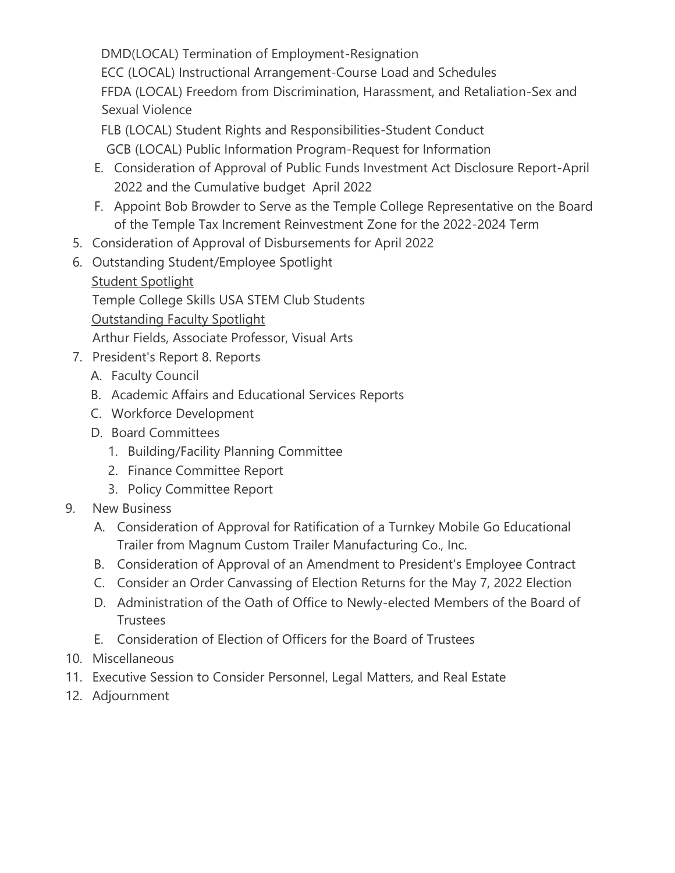DMD(LOCAL) Termination of Employment-Resignation ECC (LOCAL) Instructional Arrangement-Course Load and Schedules FFDA (LOCAL) Freedom from Discrimination, Harassment, and Retaliation-Sex and Sexual Violence

FLB (LOCAL) Student Rights and Responsibilities-Student Conduct GCB (LOCAL) Public Information Program-Request for Information

- E. Consideration of Approval of Public Funds Investment Act Disclosure Report-April 2022 and the Cumulative budget April 2022
- F. Appoint Bob Browder to Serve as the Temple College Representative on the Board of the Temple Tax Increment Reinvestment Zone for the 2022-2024 Term
- 5. Consideration of Approval of Disbursements for April 2022
- 6. Outstanding Student/Employee Spotlight Student Spotlight Temple College Skills USA STEM Club Students Outstanding Faculty Spotlight

Arthur Fields, Associate Professor, Visual Arts

- 7. President's Report 8. Reports
	- A. Faculty Council
	- B. Academic Affairs and Educational Services Reports
	- C. Workforce Development
	- D. Board Committees
		- 1. Building/Facility Planning Committee
		- 2. Finance Committee Report
		- 3. Policy Committee Report
- 9. New Business
	- A. Consideration of Approval for Ratification of a Turnkey Mobile Go Educational Trailer from Magnum Custom Trailer Manufacturing Co., Inc.
	- B. Consideration of Approval of an Amendment to President's Employee Contract
	- C. Consider an Order Canvassing of Election Returns for the May 7, 2022 Election
	- D. Administration of the Oath of Office to Newly-elected Members of the Board of **Trustees**
	- E. Consideration of Election of Officers for the Board of Trustees
- 10. Miscellaneous
- 11. Executive Session to Consider Personnel, Legal Matters, and Real Estate
- 12. Adjournment